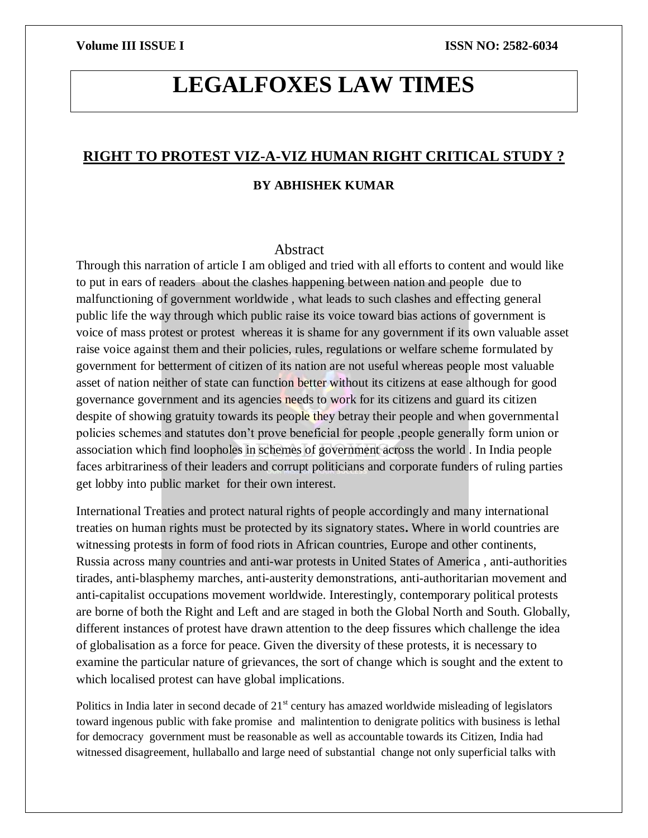# **LEGALFOXES LAW TIMES**

### **RIGHT TO PROTEST VIZ-A-VIZ HUMAN RIGHT CRITICAL STUDY ?**

### **BY ABHISHEK KUMAR**

#### Abstract

Through this narration of article I am obliged and tried with all efforts to content and would like to put in ears of readers about the clashes happening between nation and people due to malfunctioning of government worldwide , what leads to such clashes and effecting general public life the way through which public raise its voice toward bias actions of government is voice of mass protest or protest whereas it is shame for any government if its own valuable asset raise voice against them and their policies, rules, regulations or welfare scheme formulated by government for betterment of citizen of its nation are not useful whereas people most valuable asset of nation neither of state can function better without its citizens at ease although for good governance government and its agencies needs to work for its citizens and guard its citizen despite of showing gratuity towards its people they betray their people and when governmental policies schemes and statutes don't prove beneficial for people ,people generally form union or association which find loopholes in schemes of government across the world . In India people faces arbitrariness of their leaders and corrupt politicians and corporate funders of ruling parties get lobby into public market for their own interest.

International Treaties and protect natural rights of people accordingly and many international treaties on human rights must be protected by its signatory states**.** Where in world countries are witnessing protests in form of food riots in African countries, Europe and other continents, Russia across many countries and anti-war protests in United States of America , anti-authorities tirades, anti-blasphemy marches, anti-austerity demonstrations, anti-authoritarian movement and anti-capitalist occupations movement worldwide. Interestingly, contemporary political protests are borne of both the Right and Left and are staged in both the Global North and South. Globally, different instances of protest have drawn attention to the deep fissures which challenge the idea of globalisation as a force for peace. Given the diversity of these protests, it is necessary to examine the particular nature of grievances, the sort of change which is sought and the extent to which localised protest can have global implications.

Politics in India later in second decade of  $21<sup>st</sup>$  century has amazed worldwide misleading of legislators toward ingenous public with fake promise and malintention to denigrate politics with business is lethal for democracy government must be reasonable as well as accountable towards its Citizen, India had witnessed disagreement, hullaballo and large need of substantial change not only superficial talks with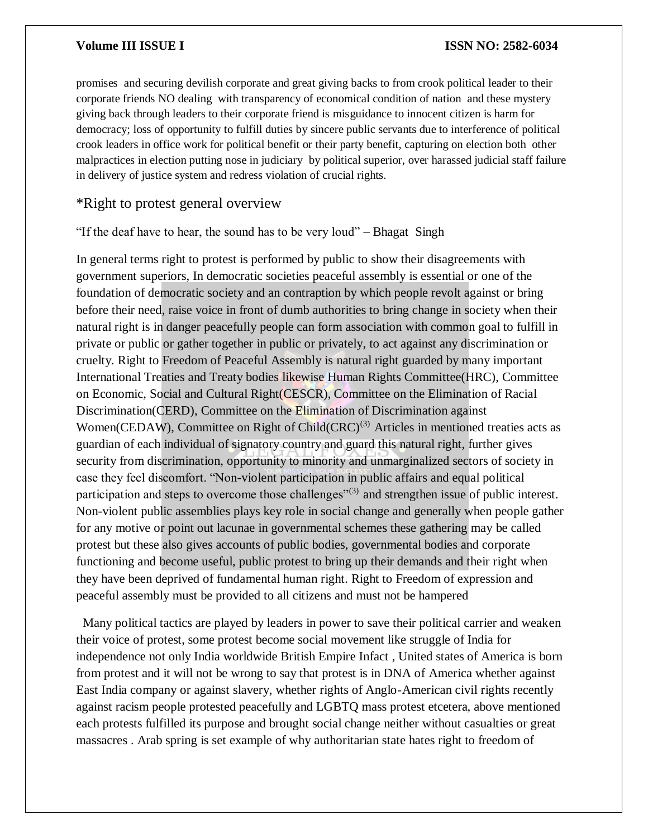promises and securing devilish corporate and great giving backs to from crook political leader to their corporate friends NO dealing with transparency of economical condition of nation and these mystery giving back through leaders to their corporate friend is misguidance to innocent citizen is harm for democracy; loss of opportunity to fulfill duties by sincere public servants due to interference of political crook leaders in office work for political benefit or their party benefit, capturing on election both other malpractices in election putting nose in judiciary by political superior, over harassed judicial staff failure in delivery of justice system and redress violation of crucial rights.

### \*Right to protest general overview

"If the deaf have to hear, the sound has to be very loud" – Bhagat Singh

In general terms right to protest is performed by public to show their disagreements with government superiors, In democratic societies peaceful assembly is essential or one of the foundation of democratic society and an contraption by which people revolt against or bring before their need, raise voice in front of dumb authorities to bring change in society when their natural right is in danger peacefully people can form association with common goal to fulfill in private or public or gather together in public or privately, to act against any discrimination or cruelty. Right to Freedom of Peaceful Assembly is natural right guarded by many important International Treaties and Treaty bodies likewise Human Rights Committee(HRC), Committee on Economic, Social and Cultural Right(CESCR), Committee on the Elimination of Racial Discrimination(CERD), Committee on the Elimination of Discrimination against Women(CEDAW), Committee on Right of Child(CRC)<sup>(3)</sup> Articles in mentioned treaties acts as guardian of each individual of signatory country and guard this natural right, further gives security from discrimination, opportunity to minority and unmarginalized sectors of society in case they feel discomfort. "Non-violent participation in public affairs and equal political participation and steps to overcome those challenges<sup>"(3)</sup> and strengthen issue of public interest. Non-violent public assemblies plays key role in social change and generally when people gather for any motive or point out lacunae in governmental schemes these gathering may be called protest but these also gives accounts of public bodies, governmental bodies and corporate functioning and become useful, public protest to bring up their demands and their right when they have been deprived of fundamental human right. Right to Freedom of expression and peaceful assembly must be provided to all citizens and must not be hampered

 Many political tactics are played by leaders in power to save their political carrier and weaken their voice of protest, some protest become social movement like struggle of India for independence not only India worldwide British Empire Infact , United states of America is born from protest and it will not be wrong to say that protest is in DNA of America whether against East India company or against slavery, whether rights of Anglo-American civil rights recently against racism people protested peacefully and LGBTQ mass protest etcetera, above mentioned each protests fulfilled its purpose and brought social change neither without casualties or great massacres . Arab spring is set example of why authoritarian state hates right to freedom of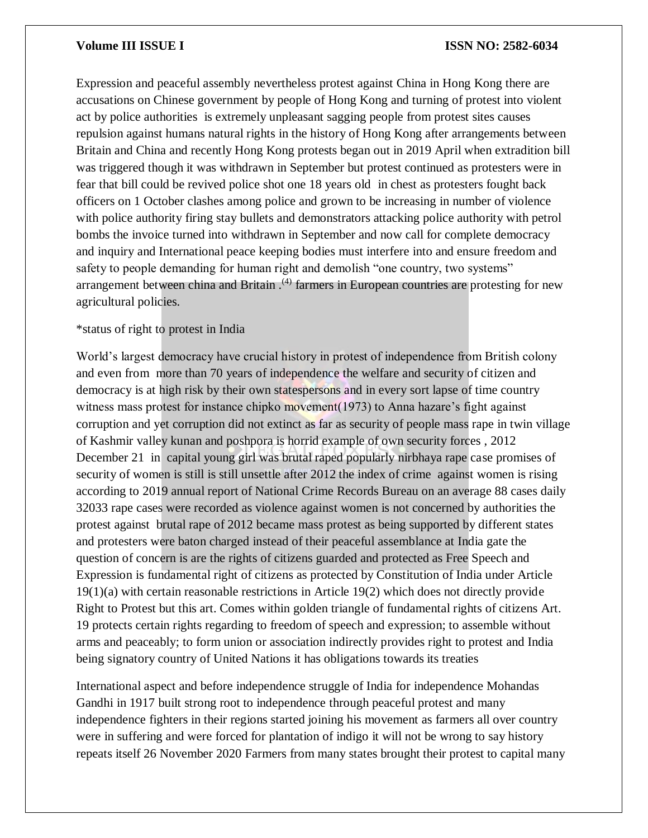Expression and peaceful assembly nevertheless protest against China in Hong Kong there are accusations on Chinese government by people of Hong Kong and turning of protest into violent act by police authorities is extremely unpleasant sagging people from protest sites causes repulsion against humans natural rights in the history of Hong Kong after arrangements between Britain and China and recently Hong Kong protests began out in 2019 April when extradition bill was triggered though it was withdrawn in September but protest continued as protesters were in fear that bill could be revived police shot one 18 years old in chest as protesters fought back officers on 1 October clashes among police and grown to be increasing in number of violence with police authority firing stay bullets and demonstrators attacking police authority with petrol bombs the invoice turned into withdrawn in September and now call for complete democracy and inquiry and International peace keeping bodies must interfere into and ensure freedom and safety to people demanding for human right and demolish "one country, two systems" arrangement between china and Britain  $(4)$  farmers in European countries are protesting for new agricultural policies.

#### \*status of right to protest in India

World's largest democracy have crucial history in protest of independence from British colony and even from more than 70 years of independence the welfare and security of citizen and democracy is at high risk by their own statespersons and in every sort lapse of time country witness mass protest for instance chipko movement(1973) to Anna hazare's fight against corruption and yet corruption did not extinct as far as security of people mass rape in twin village of Kashmir valley kunan and poshpora is horrid example of own security forces , 2012 December 21 in capital young girl was brutal raped popularly nirbhaya rape case promises of security of women is still is still unsettle after 2012 the index of crime against women is rising according to 2019 annual report of National Crime Records Bureau on an average 88 cases daily 32033 rape cases were recorded as violence against women is not concerned by authorities the protest against brutal rape of 2012 became mass protest as being supported by different states and protesters were baton charged instead of their peaceful assemblance at India gate the question of concern is are the rights of citizens guarded and protected as Free Speech and Expression is fundamental right of citizens as protected by Constitution of India under Article 19(1)(a) with certain reasonable restrictions in Article 19(2) which does not directly provide Right to Protest but this art. Comes within golden triangle of fundamental rights of citizens Art. 19 protects certain rights regarding to freedom of speech and expression; to assemble without arms and peaceably; to form union or association indirectly provides right to protest and India being signatory country of United Nations it has obligations towards its treaties

International aspect and before independence struggle of India for independence Mohandas Gandhi in 1917 built strong root to independence through peaceful protest and many independence fighters in their regions started joining his movement as farmers all over country were in suffering and were forced for plantation of indigo it will not be wrong to say history repeats itself 26 November 2020 Farmers from many states brought their protest to capital many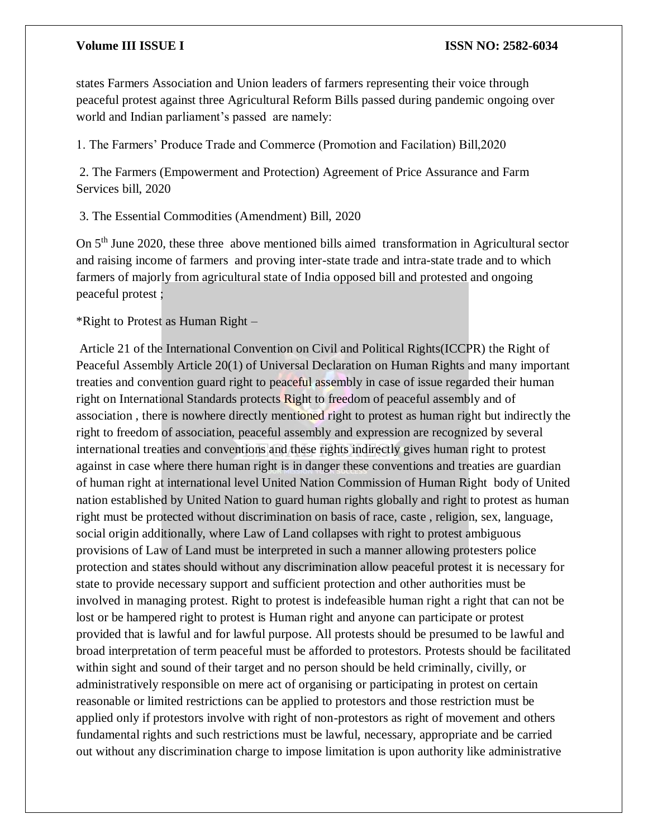states Farmers Association and Union leaders of farmers representing their voice through peaceful protest against three Agricultural Reform Bills passed during pandemic ongoing over world and Indian parliament's passed are namely:

1. The Farmers' Produce Trade and Commerce (Promotion and Facilation) Bill,2020

2. The Farmers (Empowerment and Protection) Agreement of Price Assurance and Farm Services bill, 2020

3. The Essential Commodities (Amendment) Bill, 2020

On 5th June 2020, these three above mentioned bills aimed transformation in Agricultural sector and raising income of farmers and proving inter-state trade and intra-state trade and to which farmers of majorly from agricultural state of India opposed bill and protested and ongoing peaceful protest ;

\*Right to Protest as Human Right –

Article 21 of the International Convention on Civil and Political Rights(ICCPR) the Right of Peaceful Assembly Article 20(1) of Universal Declaration on Human Rights and many important treaties and convention guard right to peaceful assembly in case of issue regarded their human right on International Standards protects Right to freedom of peaceful assembly and of association , there is nowhere directly mentioned right to protest as human right but indirectly the right to freedom of association, peaceful assembly and expression are recognized by several international treaties and conventions and these rights indirectly gives human right to protest against in case where there human right is in danger these conventions and treaties are guardian of human right at international level United Nation Commission of Human Right body of United nation established by United Nation to guard human rights globally and right to protest as human right must be protected without discrimination on basis of race, caste , religion, sex, language, social origin additionally, where Law of Land collapses with right to protest ambiguous provisions of Law of Land must be interpreted in such a manner allowing protesters police protection and states should without any discrimination allow peaceful protest it is necessary for state to provide necessary support and sufficient protection and other authorities must be involved in managing protest. Right to protest is indefeasible human right a right that can not be lost or be hampered right to protest is Human right and anyone can participate or protest provided that is lawful and for lawful purpose. All protests should be presumed to be lawful and broad interpretation of term peaceful must be afforded to protestors. Protests should be facilitated within sight and sound of their target and no person should be held criminally, civilly, or administratively responsible on mere act of organising or participating in protest on certain reasonable or limited restrictions can be applied to protestors and those restriction must be applied only if protestors involve with right of non-protestors as right of movement and others fundamental rights and such restrictions must be lawful, necessary, appropriate and be carried out without any discrimination charge to impose limitation is upon authority like administrative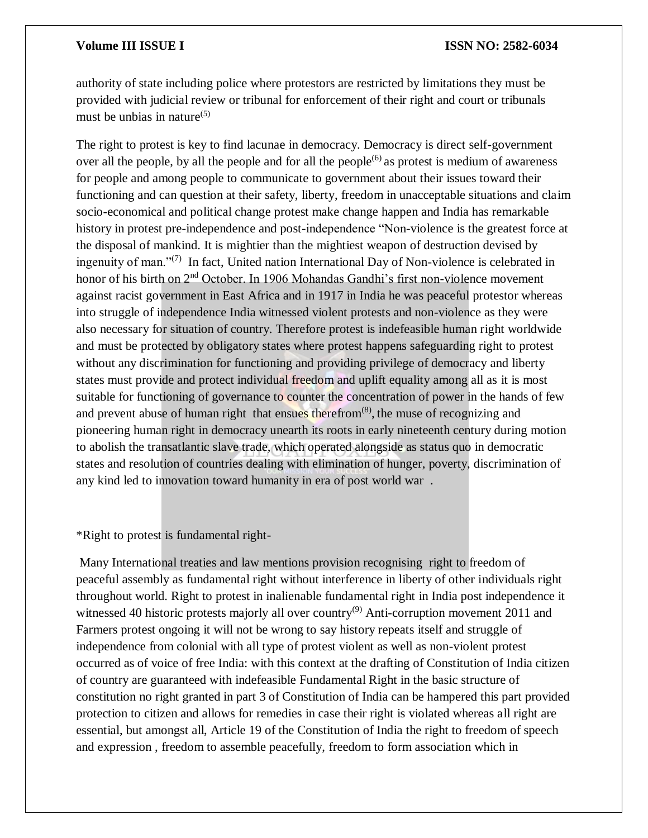authority of state including police where protestors are restricted by limitations they must be provided with judicial review or tribunal for enforcement of their right and court or tribunals must be unbias in nature $(5)$ 

The right to protest is key to find lacunae in democracy. Democracy is direct self-government over all the people, by all the people and for all the people<sup> $(6)$ </sup> as protest is medium of awareness for people and among people to communicate to government about their issues toward their functioning and can question at their safety, liberty, freedom in unacceptable situations and claim socio-economical and political change protest make change happen and India has remarkable history in protest pre-independence and post-independence "Non-violence is the greatest force at the disposal of mankind. It is mightier than the mightiest weapon of destruction devised by ingenuity of man."<sup>(7)</sup> In fact, United nation International Day of Non-violence is celebrated in honor of his birth on 2<sup>nd</sup> October. In 1906 Mohandas Gandhi's first non-violence movement against racist government in East Africa and in 1917 in India he was peaceful protestor whereas into struggle of independence India witnessed violent protests and non-violence as they were also necessary for situation of country. Therefore protest is indefeasible human right worldwide and must be protected by obligatory states where protest happens safeguarding right to protest without any discrimination for functioning and providing privilege of democracy and liberty states must provide and protect individual freedom and uplift equality among all as it is most suitable for functioning of governance to counter the concentration of power in the hands of few and prevent abuse of human right that ensues therefrom<sup>(8)</sup>, the muse of recognizing and pioneering human right in democracy unearth its roots in early nineteenth century during motion to abolish the transatlantic slave trade, which operated alongside as status quo in democratic states and resolution of countries dealing with elimination of hunger, poverty, discrimination of any kind led to innovation toward humanity in era of post world war .

\*Right to protest is fundamental right-

Many International treaties and law mentions provision recognising right to freedom of peaceful assembly as fundamental right without interference in liberty of other individuals right throughout world. Right to protest in inalienable fundamental right in India post independence it witnessed 40 historic protests majorly all over country<sup>(9)</sup> Anti-corruption movement 2011 and Farmers protest ongoing it will not be wrong to say history repeats itself and struggle of independence from colonial with all type of protest violent as well as non-violent protest occurred as of voice of free India: with this context at the drafting of Constitution of India citizen of country are guaranteed with indefeasible Fundamental Right in the basic structure of constitution no right granted in part 3 of Constitution of India can be hampered this part provided protection to citizen and allows for remedies in case their right is violated whereas all right are essential, but amongst all, Article 19 of the Constitution of India the right to freedom of speech and expression , freedom to assemble peacefully, freedom to form association which in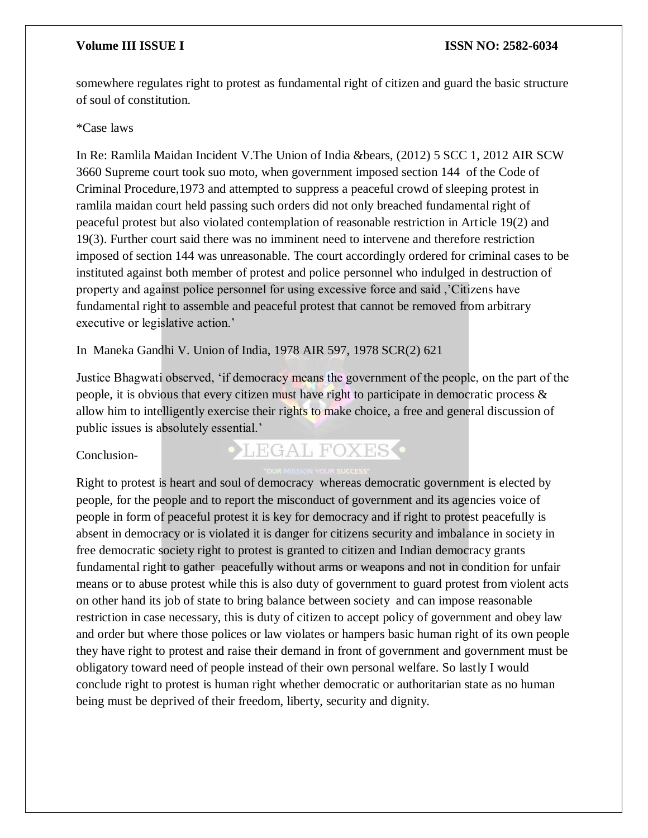somewhere regulates right to protest as fundamental right of citizen and guard the basic structure of soul of constitution.

#### \*Case laws

In Re: Ramlila Maidan Incident V.The Union of India &bears, (2012) 5 SCC 1, 2012 AIR SCW 3660 Supreme court took suo moto, when government imposed section 144 of the Code of Criminal Procedure,1973 and attempted to suppress a peaceful crowd of sleeping protest in ramlila maidan court held passing such orders did not only breached fundamental right of peaceful protest but also violated contemplation of reasonable restriction in Article 19(2) and 19(3). Further court said there was no imminent need to intervene and therefore restriction imposed of section 144 was unreasonable. The court accordingly ordered for criminal cases to be instituted against both member of protest and police personnel who indulged in destruction of property and against police personnel for using excessive force and said ,'Citizens have fundamental right to assemble and peaceful protest that cannot be removed from arbitrary executive or legislative action.'

In Maneka Gandhi V. Union of India, 1978 AIR 597, 1978 SCR(2) 621

Justice Bhagwati observed, 'if democracy means the government of the people, on the part of the people, it is obvious that every citizen must have right to participate in democratic process & allow him to intelligently exercise their rights to make choice, a free and general discussion of public issues is absolutely essential.'

### Conclusion-

## LEGAL FOXES<sup>.</sup>

Right to protest is heart and soul of democracy whereas democratic government is elected by people, for the people and to report the misconduct of government and its agencies voice of people in form of peaceful protest it is key for democracy and if right to protest peacefully is absent in democracy or is violated it is danger for citizens security and imbalance in society in free democratic society right to protest is granted to citizen and Indian democracy grants fundamental right to gather peacefully without arms or weapons and not in condition for unfair means or to abuse protest while this is also duty of government to guard protest from violent acts on other hand its job of state to bring balance between society and can impose reasonable restriction in case necessary, this is duty of citizen to accept policy of government and obey law and order but where those polices or law violates or hampers basic human right of its own people they have right to protest and raise their demand in front of government and government must be obligatory toward need of people instead of their own personal welfare. So lastly I would conclude right to protest is human right whether democratic or authoritarian state as no human being must be deprived of their freedom, liberty, security and dignity.